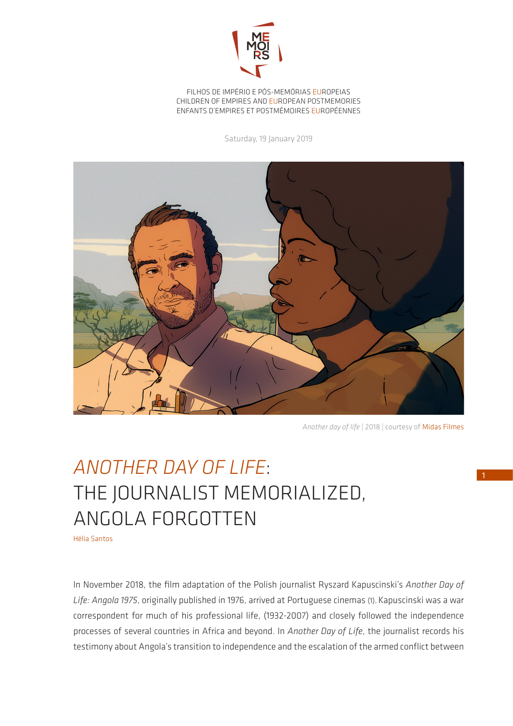

FILHOS DE IMPÉRIO E PÓS-MEMÓRIAS EUROPEIAS CHILDREN OF EMPIRES AND EUROPEAN POSTMEMORIES ENFANTS D'EMPIRES ET POSTMÉMOIRES EUROPÉENNES

Saturday, 19 January 2019



*Another day of life* | 2018 | courtesy of Midas Filmes

## *ANOTHER DAY OF LIFE*: THE JOURNALIST MEMORIALIZED, ANGOLA FORGOTTEN

Hélia Santos

In November 2018, the film adaptation of the Polish journalist Ryszard Kapuscinski's *Another Day of Life: Angola 1975*, originally published in 1976, arrived at Portuguese cinemas (1).Kapuscinski was a war correspondent for much of his professional life, (1932-2007) and closely followed the independence processes of several countries in Africa and beyond. In *Another Day of Life*, the journalist records his testimony about Angola's transition to independence and the escalation of the armed conflict between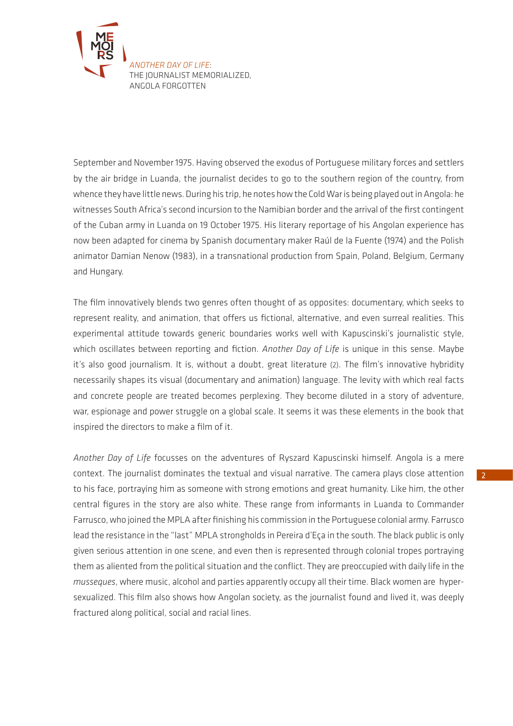

September and November 1975. Having observed the exodus of Portuguese military forces and settlers by the air bridge in Luanda, the journalist decides to go to the southern region of the country, from whence they have little news. During his trip, he notes how the Cold War is being played out in Angola: he witnesses South Africa's second incursion to the Namibian border and the arrival of the first contingent of the Cuban army in Luanda on 19 October 1975. His literary reportage of his Angolan experience has now been adapted for cinema by Spanish documentary maker Raúl de la Fuente (1974) and the Polish animator Damian Nenow (1983), in a transnational production from Spain, Poland, Belgium, Germany and Hungary.

The film innovatively blends two genres often thought of as opposites: documentary, which seeks to represent reality, and animation, that offers us fictional, alternative, and even surreal realities. This experimental attitude towards generic boundaries works well with Kapuscinski's journalistic style, which oscillates between reporting and fiction. *Another Day of Life* is unique in this sense. Maybe it's also good journalism. It is, without a doubt, great literature (2). The film's innovative hybridity necessarily shapes its visual (documentary and animation) language. The levity with which real facts and concrete people are treated becomes perplexing. They become diluted in a story of adventure, war, espionage and power struggle on a global scale. It seems it was these elements in the book that inspired the directors to make a film of it.

*Another Day of Life* focusses on the adventures of Ryszard Kapuscinski himself. Angola is a mere context. The journalist dominates the textual and visual narrative. The camera plays close attention to his face, portraying him as someone with strong emotions and great humanity. Like him, the other central figures in the story are also white. These range from informants in Luanda to Commander Farrusco, who joined the MPLA after finishing his commission in the Portuguese colonial army. Farrusco lead the resistance in the "last" MPLA strongholds in Pereira d'Eça in the south. The black public is only given serious attention in one scene, and even then is represented through colonial tropes portraying them as aliented from the political situation and the conflict. They are preoccupied with daily life in the *musseques*, where music, alcohol and parties apparently occupy all their time. Black women are hypersexualized. This film also shows how Angolan society, as the journalist found and lived it, was deeply fractured along political, social and racial lines.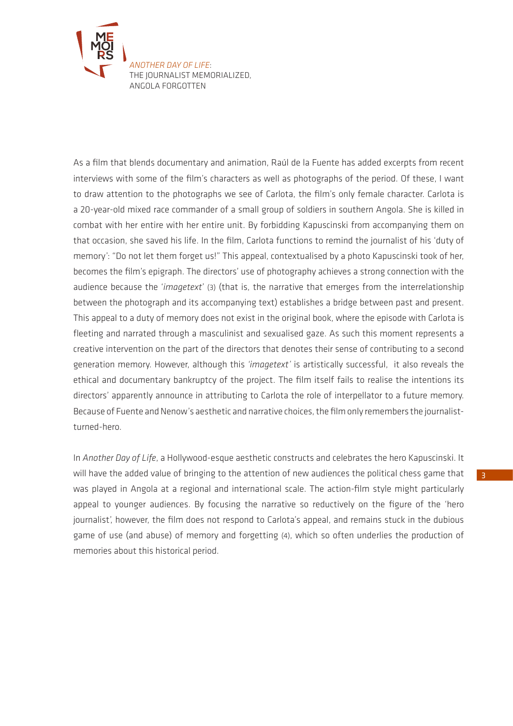

As a film that blends documentary and animation, Raúl de la Fuente has added excerpts from recent interviews with some of the film's characters as well as photographs of the period. Of these, I want to draw attention to the photographs we see of Carlota, the film's only female character. Carlota is a 20-year-old mixed race commander of a small group of soldiers in southern Angola. She is killed in combat with her entire with her entire unit. By forbidding Kapuscinski from accompanying them on that occasion, she saved his life. In the film, Carlota functions to remind the journalist of his 'duty of memory': "Do not let them forget us!" This appeal, contextualised by a photo Kapuscinski took of her, becomes the film's epigraph. The directors' use of photography achieves a strong connection with the audience because the '*imagetext*' (3) (that is, the narrative that emerges from the interrelationship between the photograph and its accompanying text) establishes a bridge between past and present. This appeal to a duty of memory does not exist in the original book, where the episode with Carlota is fleeting and narrated through a masculinist and sexualised gaze. As such this moment represents a creative intervention on the part of the directors that denotes their sense of contributing to a second generation memory. However, although this *'imagetext'* is artistically successful, it also reveals the ethical and documentary bankruptcy of the project. The film itself fails to realise the intentions its directors' apparently announce in attributing to Carlota the role of interpellator to a future memory. Because of Fuente and Nenow's aesthetic and narrative choices, the film only remembers the journalistturned-hero.

In *Another Day of Life*, a Hollywood-esque aesthetic constructs and celebrates the hero Kapuscinski. It will have the added value of bringing to the attention of new audiences the political chess game that was played in Angola at a regional and international scale. The action-film style might particularly appeal to younger audiences. By focusing the narrative so reductively on the figure of the 'hero journalist', however, the film does not respond to Carlota's appeal, and remains stuck in the dubious game of use (and abuse) of memory and forgetting (4), which so often underlies the production of memories about this historical period.